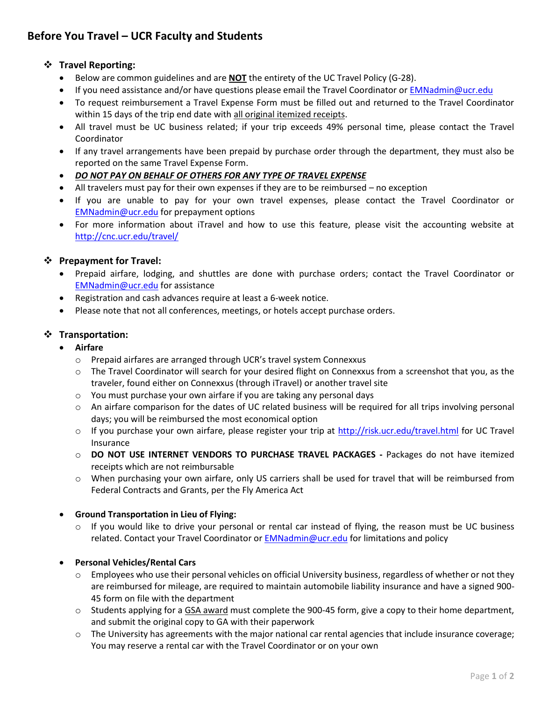# **Before You Travel – UCR Faculty and Students**

# **Travel Reporting:**

- Below are common guidelines and are **NOT** the entirety of the UC Travel Policy (G-28).
- If you need assistance and/or have questions please email the Travel Coordinator or [EMNadmin@ucr.edu](mailto:bnnadmin@ucr.edu)
- To request reimbursement a Travel Expense Form must be filled out and returned to the Travel Coordinator within 15 days of the trip end date with all original itemized receipts.
- All travel must be UC business related; if your trip exceeds 49% personal time, please contact the Travel Coordinator
- If any travel arrangements have been prepaid by purchase order through the department, they must also be reported on the same Travel Expense Form.
- *DO NOT PAY ON BEHALF OF OTHERS FOR ANY TYPE OF TRAVEL EXPENSE*
- All travelers must pay for their own expenses if they are to be reimbursed no exception
- If you are unable to pay for your own travel expenses, please contact the Travel Coordinator or [EMNadmin@ucr.edu](mailto:bnnadmin@ucr.edu) for prepayment options
- For more information about iTravel and how to use this feature, please visit the accounting website at <http://cnc.ucr.edu/travel/>

# **Prepayment for Travel:**

- Prepaid airfare, lodging, and shuttles are done with purchase orders; contact the Travel Coordinator or [EMNadmin@ucr.edu](mailto:bnnadmin@ucr.edu) for assistance
- Registration and cash advances require at least a 6-week notice.
- Please note that not all conferences, meetings, or hotels accept purchase orders.

#### **Transportation:**

- **Airfare**
	- o Prepaid airfares are arranged through UCR's travel system Connexxus
	- o The Travel Coordinator will search for your desired flight on Connexxus from a screenshot that you, as the traveler, found either on Connexxus (through iTravel) or another travel site
	- o You must purchase your own airfare if you are taking any personal days
	- o An airfare comparison for the dates of UC related business will be required for all trips involving personal days; you will be reimbursed the most economical option
	- o If you purchase your own airfare, please register your trip at<http://risk.ucr.edu/travel.html> for UC Travel Insurance
	- o **DO NOT USE INTERNET VENDORS TO PURCHASE TRAVEL PACKAGES -** Packages do not have itemized receipts which are not reimbursable
	- o When purchasing your own airfare, only US carriers shall be used for travel that will be reimbursed from Federal Contracts and Grants, per the Fly America Act

#### **Ground Transportation in Lieu of Flying:**

 $\circ$  If you would like to drive your personal or rental car instead of flying, the reason must be UC business related. Contact your Travel Coordinator or **EMNadmin@ucr.edu** for limitations and policy

#### **Personal Vehicles/Rental Cars**

- o Employees who use their personal vehicles on official University business, regardless of whether or not they are reimbursed for mileage, are required to maintain automobile liability insurance and have a signed 900- 45 form on file with the department
- $\circ$  Students applying for a GSA award must complete the 900-45 form, give a copy to their home department, and submit the original copy to GA with their paperwork
- o The University has agreements with the major national car rental agencies that include insurance coverage; You may reserve a rental car with the Travel Coordinator or on your own